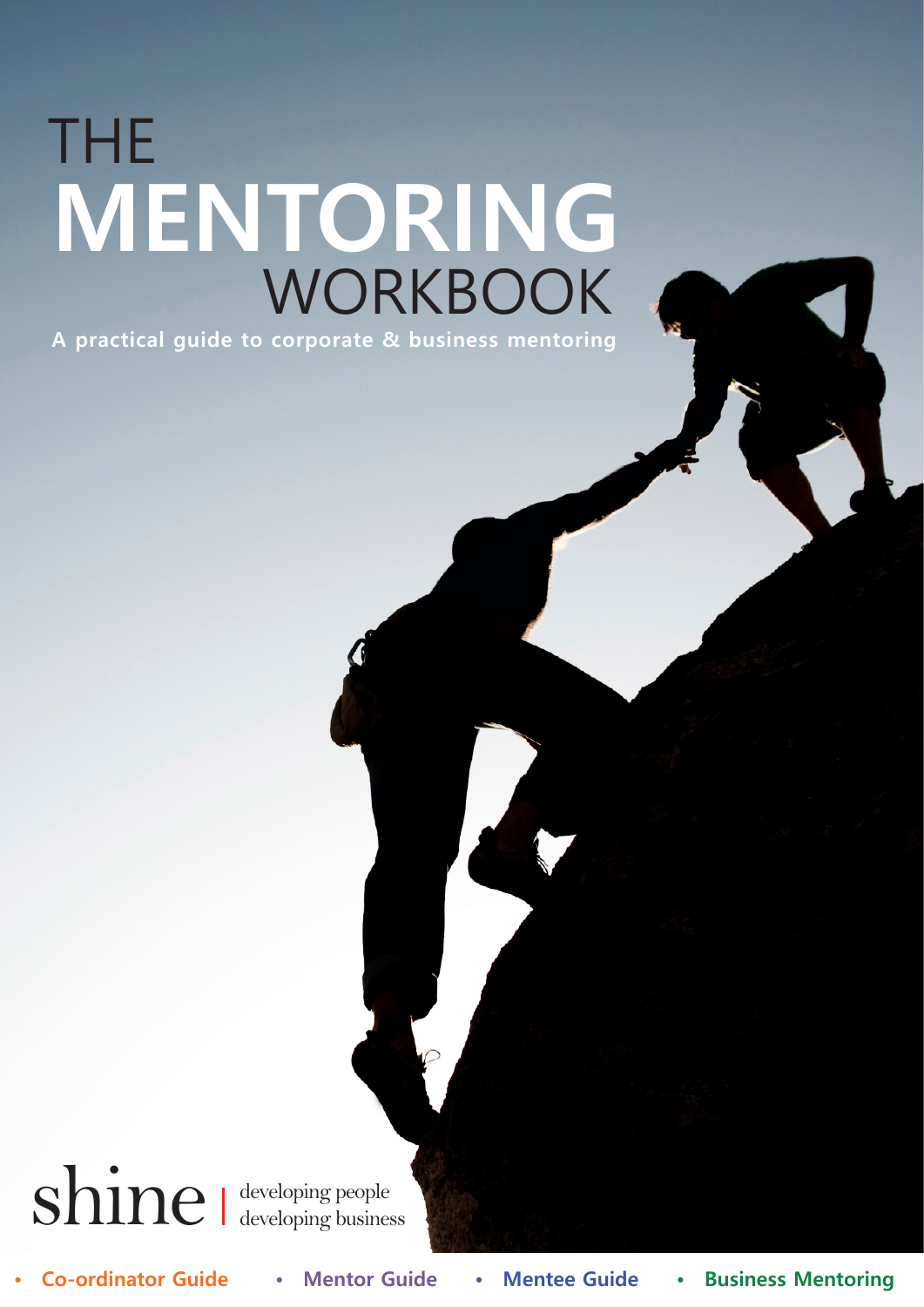# THE **MENTORING** WORKBOOK

**A practical guide to corporate & business mentoring**

shine developing people developing business

**• Co-ordinator Guide • Mentor Guide • Mentee Guide • Business Mentoring**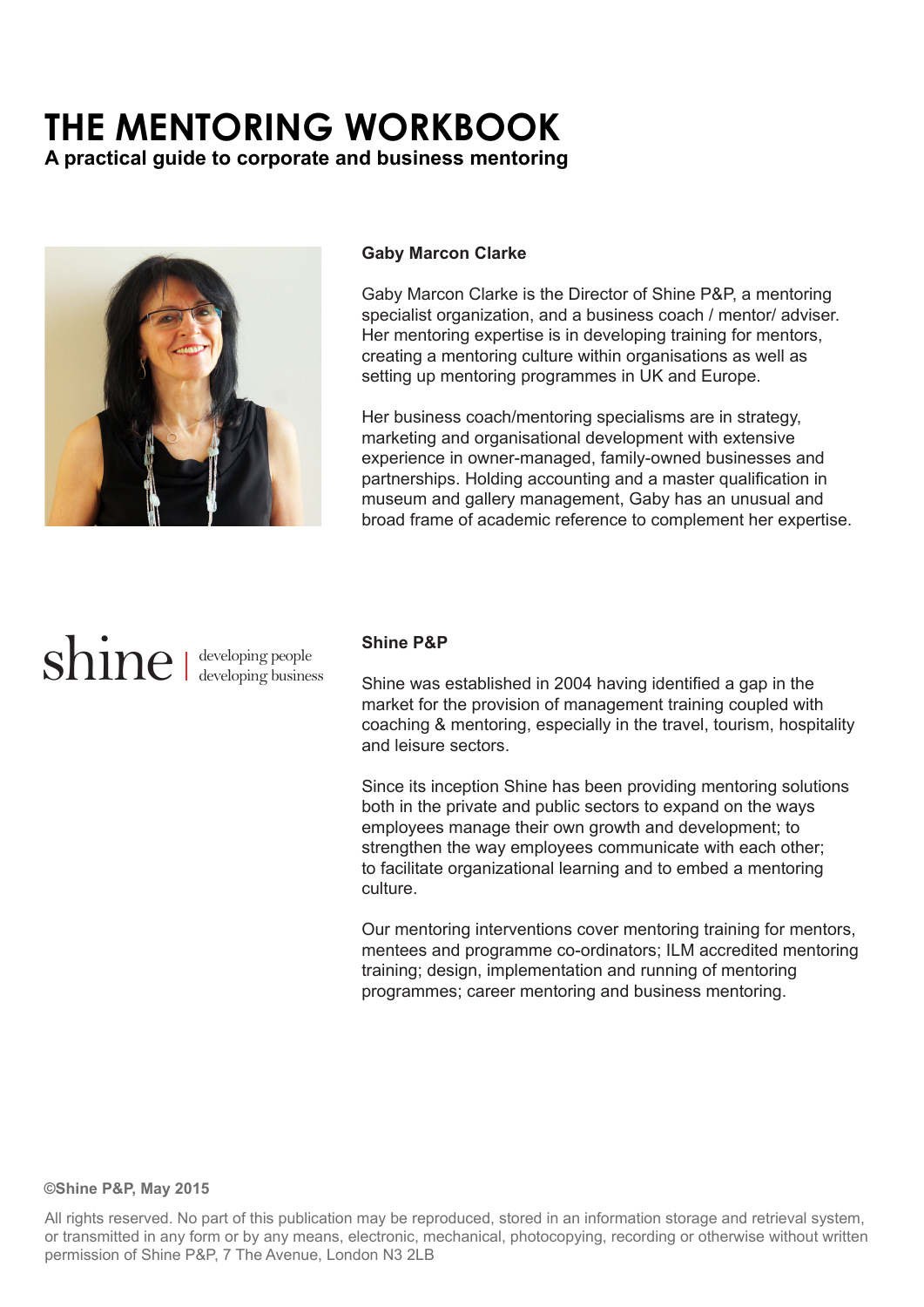### **THE MENTORING WORKBOOK**

**A practical guide to corporate and business mentoring**



#### **Gaby Marcon Clarke**

Gaby Marcon Clarke is the Director of Shine P&P, a mentoring specialist organization, and a business coach / mentor/ adviser. Her mentoring expertise is in developing training for mentors, creating a mentoring culture within organisations as well as setting up mentoring programmes in UK and Europe.

Her business coach/mentoring specialisms are in strategy, marketing and organisational development with extensive experience in owner-managed, family-owned businesses and partnerships. Holding accounting and a master qualification in museum and gallery management, Gaby has an unusual and broad frame of academic reference to complement her expertise.

## shine I developing people

#### **Shine P&P**

Shine was established in 2004 having identified a gap in the market for the provision of management training coupled with coaching & mentoring, especially in the travel, tourism, hospitality and leisure sectors.

Since its inception Shine has been providing mentoring solutions both in the private and public sectors to expand on the ways employees manage their own growth and development; to strengthen the way employees communicate with each other; to facilitate organizational learning and to embed a mentoring culture.

Our mentoring interventions cover mentoring training for mentors, mentees and programme co-ordinators; ILM accredited mentoring training; design, implementation and running of mentoring programmes; career mentoring and business mentoring.

#### **©Shine P&P, May 2015**

All rights reserved. No part of this publication may be reproduced, stored in an information storage and retrieval system, or transmitted in any form or by any means, electronic, mechanical, photocopying, recording or otherwise without written permission of Shine P&P, 7 The Avenue, London N3 2LB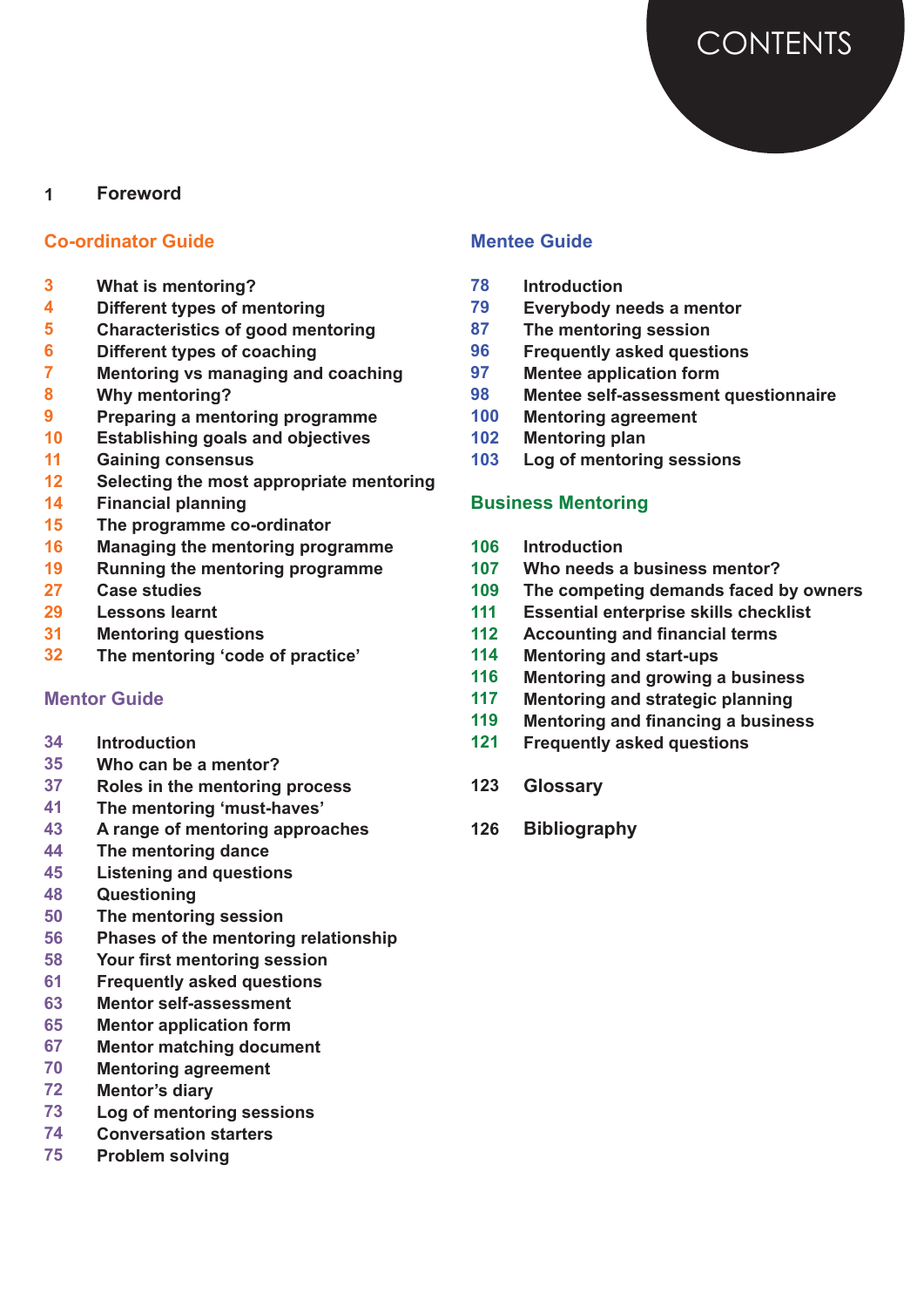

#### **Foreword 1**

#### **Co-ordinator Guide**

- **What is mentoring? 3**
- **Different types of mentoring 4**
- **Characteristics of good mentoring 5**
- **Different types of coaching 6**
- **Mentoring vs managing and coaching 7**
- **Why mentoring? 8**
- **Preparing a mentoring programme 9**
- **Establishing goals and objectives 10**
- **Gaining consensus 11**
- **Selecting the most appropriate mentoring 12**
- **Financial planning 14**
- **The programme co-ordinator 15**
- **Managing the mentoring programme 16**
- **Running the mentoring programme 19**
- **Case studies 27**
- **Lessons learnt 29**
- **Mentoring questions 31**
- **The mentoring 'code of practice' 32**

#### **Mentor Guide**

- **Introduction 34**
- **Who can be a mentor? 35**
- **Roles in the mentoring process 37**
- **The mentoring 'must-haves' 41**
- **A range of mentoring approaches 43**
- **The mentoring dance 44**
- **Listening and questions 45**
- **Questioning 48**
- **The mentoring session 50**
- **Phases of the mentoring relationship 56**
- **Your first mentoring session 58**
- **Frequently asked questions 61**
- **Mentor self-assessment 63**
- **Mentor application form 65**
- **Mentor matching document 67**
- **Mentoring agreement 70**
- **Mentor's diary 72**
- **Log of mentoring sessions 73**
- **Conversation starters 74**
- **Problem solving 75**

#### **Mentee Guide**

- **Introduction 78**
- **Everybody needs a mentor 79**
- **The mentoring session 87**
- **Frequently asked questions 96**
- **Mentee application form 97**
- **Mentee self-assessment questionnaire 98**
- **Mentoring agreement 100**
- **Mentoring plan 102**
- **Log of mentoring sessions 103**

#### **Business Mentoring**

- **Introduction 106**
- **Who needs a business mentor? 107**
- **The competing demands faced by owners 109**
- **Essential enterprise skills checklist 111**
- **Accounting and financial terms 112**
- **Mentoring and start-ups 114**
- **Mentoring and growing a business 116**
- **Mentoring and strategic planning 117**
- **Mentoring and financing a business 119**
- **Frequently asked questions 121**
- **Glossary 123**
- **Bibliography 126**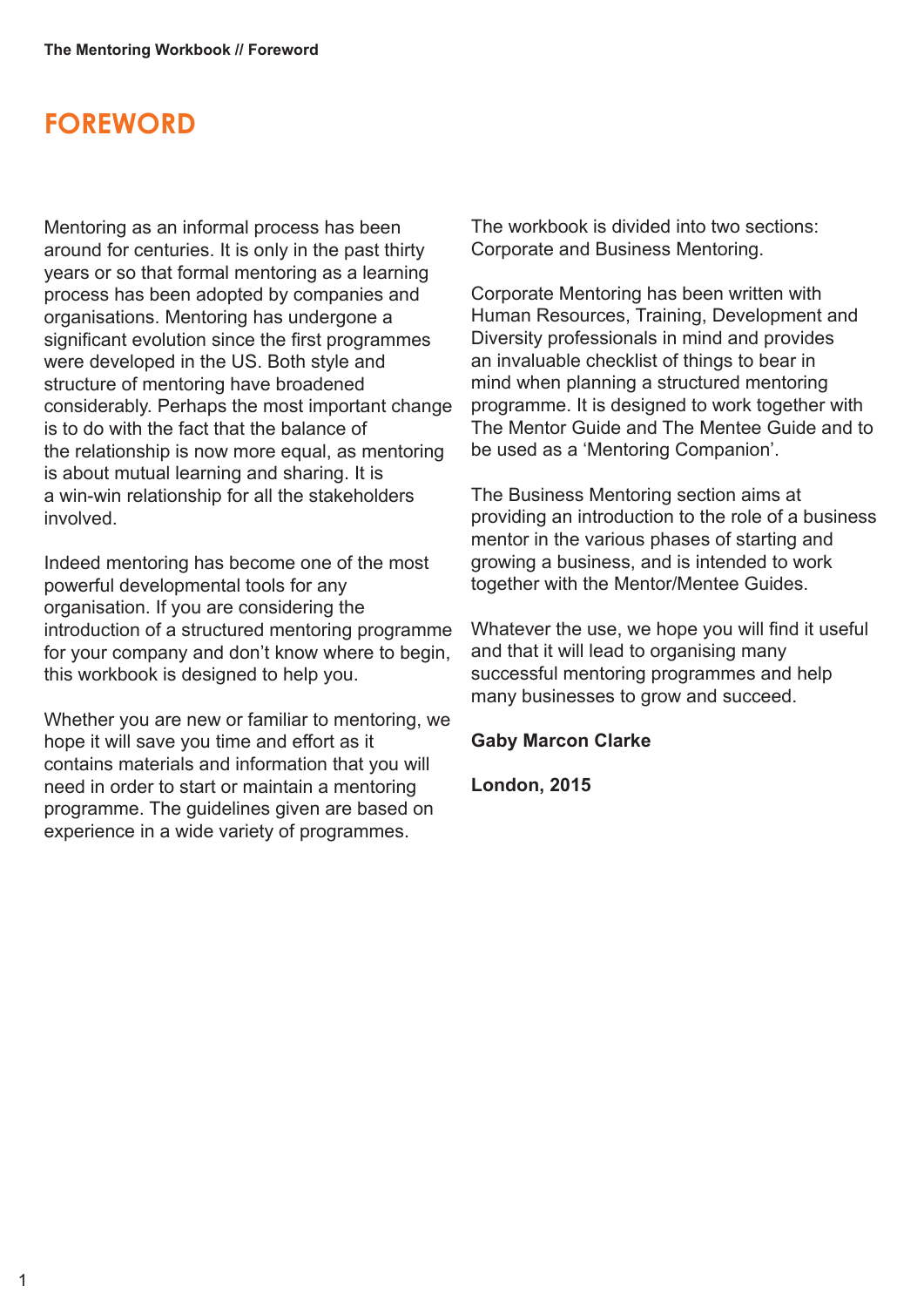### **FOREWORD**

Mentoring as an informal process has been around for centuries. It is only in the past thirty years or so that formal mentoring as a learning process has been adopted by companies and organisations. Mentoring has undergone a significant evolution since the first programmes were developed in the US. Both style and structure of mentoring have broadened considerably. Perhaps the most important change is to do with the fact that the balance of the relationship is now more equal, as mentoring is about mutual learning and sharing. It is a win-win relationship for all the stakeholders involved.

Indeed mentoring has become one of the most powerful developmental tools for any organisation. If you are considering the introduction of a structured mentoring programme for your company and don't know where to begin, this workbook is designed to help you.

Whether you are new or familiar to mentoring, we hope it will save you time and effort as it contains materials and information that you will need in order to start or maintain a mentoring programme. The guidelines given are based on experience in a wide variety of programmes.

The workbook is divided into two sections: Corporate and Business Mentoring.

Corporate Mentoring has been written with Human Resources, Training, Development and Diversity professionals in mind and provides an invaluable checklist of things to bear in mind when planning a structured mentoring programme. It is designed to work together with The Mentor Guide and The Mentee Guide and to be used as a 'Mentoring Companion'.

The Business Mentoring section aims at providing an introduction to the role of a business mentor in the various phases of starting and growing a business, and is intended to work together with the Mentor/Mentee Guides.

Whatever the use, we hope you will find it useful and that it will lead to organising many successful mentoring programmes and help many businesses to grow and succeed.

#### **Gaby Marcon Clarke**

**London, 2015**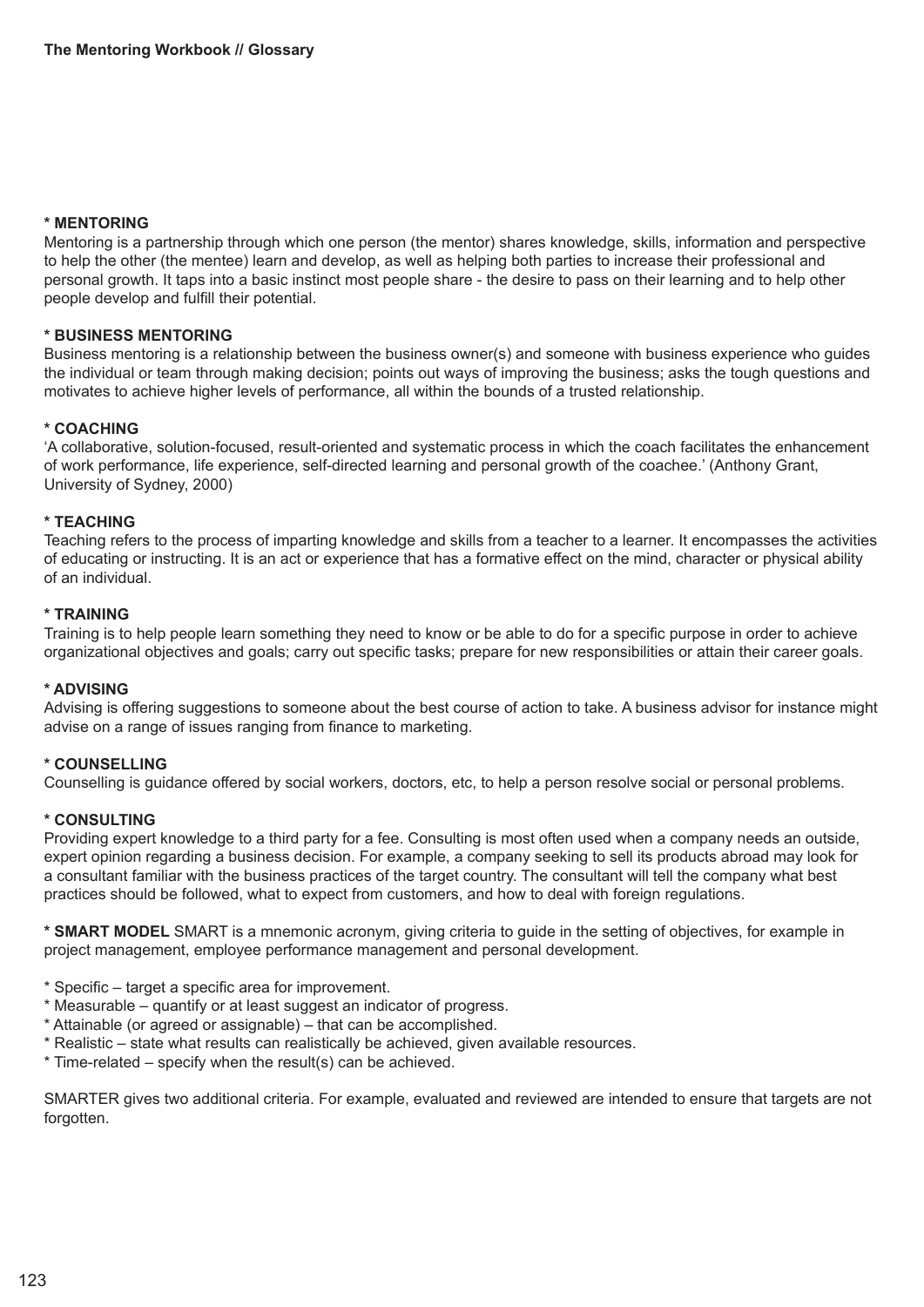#### **\* MENTORING**

Mentoring is a partnership through which one person (the mentor) shares knowledge, skills, information and perspective to help the other (the mentee) learn and develop, as well as helping both parties to increase their professional and personal growth. It taps into a basic instinct most people share - the desire to pass on their learning and to help other people develop and fulfill their potential.

#### **\* BUSINESS MENTORING**

Business mentoring is a relationship between the business owner(s) and someone with business experience who guides the individual or team through making decision; points out ways of improving the business; asks the tough questions and motivates to achieve higher levels of performance, all within the bounds of a trusted relationship.

#### **\* COACHING**

'A collaborative, solution-focused, result-oriented and systematic process in which the coach facilitates the enhancement of work performance, life experience, self-directed learning and personal growth of the coachee.' (Anthony Grant, University of Sydney, 2000)

#### **\* TEACHING**

Teaching refers to the process of imparting knowledge and skills from a teacher to a learner. It encompasses the activities of educating or instructing. It is an act or experience that has a formative effect on the mind, character or physical ability of an individual.

#### **\* TRAINING**

Training is to help people learn something they need to know or be able to do for a specific purpose in order to achieve organizational objectives and goals; carry out specific tasks; prepare for new responsibilities or attain their career goals.

#### **\* ADVISING**

Advising is offering suggestions to someone about the best course of action to take. A business advisor for instance might advise on a range of issues ranging from finance to marketing.

#### **\* COUNSELLING**

Counselling is guidance offered by social workers, doctors, etc, to help a person resolve social or personal problems.

#### **\* CONSULTING**

Providing expert knowledge to a third party for a fee. Consulting is most often used when a company needs an outside, expert opinion regarding a business decision. For example, a company seeking to sell its products abroad may look for a consultant familiar with the business practices of the target country. The consultant will tell the company what best practices should be followed, what to expect from customers, and how to deal with foreign regulations.

**\* SMART MODEL** SMART is a mnemonic acronym, giving criteria to guide in the setting of objectives, for example in project management, employee performance management and personal development.

- \* Specific target a specific area for improvement.
- \* Measurable quantify or at least suggest an indicator of progress.
- \* Attainable (or agreed or assignable) that can be accomplished.
- \* Realistic state what results can realistically be achieved, given available resources.
- \* Time-related specify when the result(s) can be achieved.

SMARTER gives two additional criteria. For example, evaluated and reviewed are intended to ensure that targets are not forgotten.